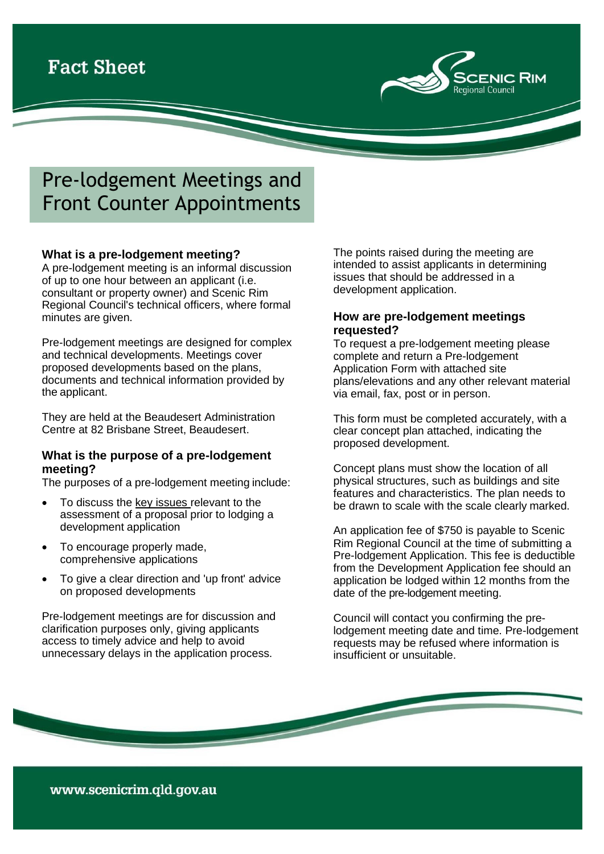

# Pre-lodgement Meetings and Front Counter Appointments

## **What is a pre-lodgement meeting?**

A pre-lodgement meeting is an informal discussion of up to one hour between an applicant (i.e. consultant or property owner) and Scenic Rim Regional Council's technical officers, where formal minutes are given.

Pre-lodgement meetings are designed for complex and technical developments. Meetings cover proposed developments based on the plans, documents and technical information provided by the applicant.

They are held at the Beaudesert Administration Centre at 82 Brisbane Street, Beaudesert.

### **What is the purpose of a pre-lodgement meeting?**

The purposes of a pre-lodgement meeting include:

- To discuss the key issues relevant to the assessment of a proposal prior to lodging a development application
- To encourage properly made, comprehensive applications
- To give a clear direction and 'up front' advice on proposed developments

Pre-lodgement meetings are for discussion and clarification purposes only, giving applicants access to timely advice and help to avoid unnecessary delays in the application process.

The points raised during the meeting are intended to assist applicants in determining issues that should be addressed in a development application.

## **How are pre-lodgement meetings requested?**

To request a pre-lodgement meeting please complete and return a Pre-lodgement [Application](http://www.scenicrim.qld.gov.au/c/document_library/get_file?uuid=2f31331d-b827-43f0-bc8e-cc4e571f7bf3&groupId=717563) Form with attached site plans/elevations and any other relevant material via email, fax, post or in person.

This form must be completed accurately, with a clear concept plan attached, indicating the proposed development.

Concept plans must show the location of all physical structures, such as buildings and site features and characteristics. The plan needs to be drawn to scale with the scale clearly marked.

An application fee of \$750 is payable to Scenic Rim Regional Council at the time of submitting a Pre-lodgement Application. This fee is deductible from the Development Application fee should an application be lodged within 12 months from the date of the pre-lodgement meeting.

Council will contact you confirming the prelodgement meeting date and time. Pre-lodgement requests may be refused where information is insufficient or unsuitable.